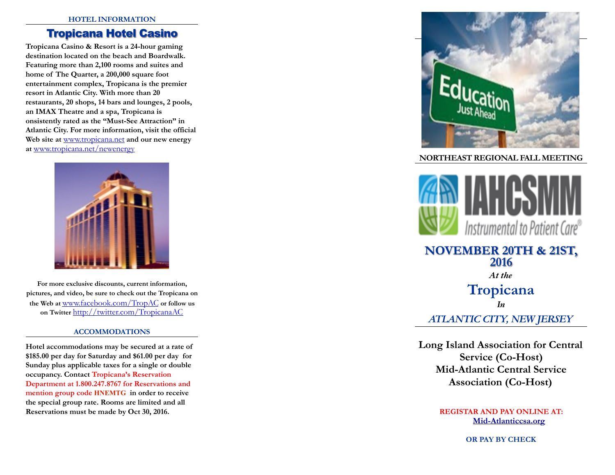#### **HOTEL INFORMATION**

# Tropicana Hotel Casino

**Tropicana Casino & Resort is a 24-hour gaming destination located on the beach and Boardwalk. Featuring more than 2,100 rooms and suites and home of The Quarter, a 200,000 square foot entertainment complex, Tropicana is the premier resort in Atlantic City. With more than 20 restaurants, 20 shops, 14 bars and lounges, 2 pools, an IMAX Theatre and a spa, Tropicana is onsistently rated as the "Must-See Attraction" in Atlantic City. For more information, visit the official Web site at** [www.tropicana.net](http://www.tropicana.net/) **and our new energy at** [www.tropicana.net/newenergy](http://www.tropicana.net/newenergy)



**For more exclusive discounts, current information, pictures, and video, be sure to check out the Tropicana on the Web at** [www.facebook.com/TropAC](http://www.facebook.com/TropAC) **or follow us on Twitter** <http://twitter.com/TropicanaAC>

### **ACCOMMODATIONS**

**Hotel accommodations may be secured at a rate of \$185.00 per day for Saturday and \$61.00 per day for Sunday plus applicable taxes for a single or double occupancy. Contact Tropicana's Reservation Department at 1.800.247.8767 for Reservations and mention group code HNEMTG in order to receive the special group rate. Rooms are limited and all Reservations must be made by Oct 30, 2016.** 



### **NORTHEAST REGIONAL FALL MEETING**



# **NOVEMBER 20TH & 21ST, 2016**

*At the* 

# **Tropicana**  *In*

# *ATLANTIC CITY, NEW JERSEY*

**Long Island Association for Central Service (Co-Host) Mid-Atlantic Central Service Association (Co-Host)** 

> **REGISTAR AND PAY ONLINE AT: Mid-Atlanticcsa.org**

> > **OR PAY BY CHECK**